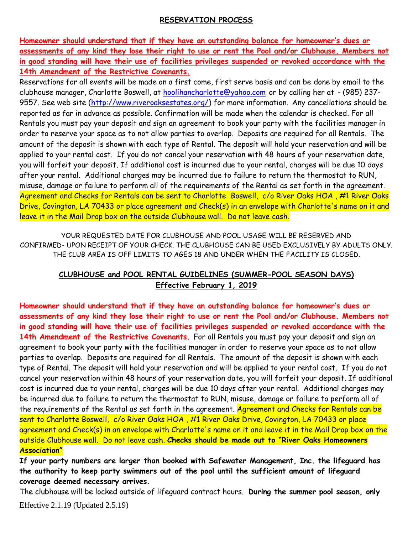#### **RESERVATION PROCESS**

**Homeowner should understand that if they have an outstanding balance for homeowner's dues or assessments of any kind they lose their right to use or rent the Pool and/or Clubhouse. Members not in good standing will have their use of facilities privileges suspended or revoked accordance with the 14th Amendment of the Restrictive Covenants.**

Reservations for all events will be made on a first come, first serve basis and can be done by email to the clubhouse manager, Charlotte Boswell, at [hoolihancharlotte@yahoo.com](mailto:hoolihancharlotte@yahoo.com) or by calling her at - (985) 237-9557. See web site [\(http://www.riveroaksestates.org/\)](http://www.riveroaksestates.org/) for more information. Any cancellations should be reported as far in advance as possible. Confirmation will be made when the calendar is checked. For all Rentals you must pay your deposit and sign an agreement to book your party with the facilities manager in order to reserve your space as to not allow parties to overlap. Deposits are required for all Rentals. The amount of the deposit is shown with each type of Rental. The deposit will hold your reservation and will be applied to your rental cost. If you do not cancel your reservation with 48 hours of your reservation date, you will forfeit your deposit. If additional cost is incurred due to your rental, charges will be due 10 days after your rental. Additional charges may be incurred due to failure to return the thermostat to RUN, misuse, damage or failure to perform all of the requirements of the Rental as set forth in the agreement. Agreement and Checks for Rentals can be sent to Charlotte Boswell, c/o River Oaks HOA, #1 River Oaks Drive, Covington, LA 70433 or place agreement and Check(s) in an envelope with Charlotte's name on it and leave it in the Mail Drop box on the outside Clubhouse wall. Do not leave cash.

YOUR REQUESTED DATE FOR CLUBHOUSE AND POOL USAGE WILL BE RESERVED AND CONFIRMED- UPON RECEIPT OF YOUR CHECK. THE CLUBHOUSE CAN BE USED EXCLUSIVELY BY ADULTS ONLY. THE CLUB AREA IS OFF LIMITS TO AGES 18 AND UNDER WHEN THE FACILITY IS CLOSED.

# **CLUBHOUSE and POOL RENTAL GUIDELINES (SUMMER-POOL SEASON DAYS) Effective February 1, 2019**

**Homeowner should understand that if they have an outstanding balance for homeowner's dues or assessments of any kind they lose their right to use or rent the Pool and/or Clubhouse. Members not in good standing will have their use of facilities privileges suspended or revoked accordance with the**  14th Amendment of the Restrictive Covenants. For all Rentals you must pay your deposit and sign an agreement to book your party with the facilities manager in order to reserve your space as to not allow parties to overlap. Deposits are required for all Rentals. The amount of the deposit is shown with each type of Rental. The deposit will hold your reservation and will be applied to your rental cost. If you do not cancel your reservation within 48 hours of your reservation date, you will forfeit your deposit. If additional cost is incurred due to your rental, charges will be due 10 days after your rental. Additional charges may be incurred due to failure to return the thermostat to RUN, misuse, damage or failure to perform all of the requirements of the Rental as set forth in the agreement. Agreement and Checks for Rentals can be sent to Charlotte Boswell, c/o River Oaks HOA , #1 River Oaks Drive, Covington, LA 70433 or place agreement and Check(s) in an envelope with Charlotte's name on it and leave it in the Mail Drop box on the outside Clubhouse wall. Do not leave cash. **Checks should be made out to "River Oaks Homeowners Association"**

**If your party numbers are larger than booked with Safewater Management, Inc. the lifeguard has the authority to keep party swimmers out of the pool until the sufficient amount of lifeguard coverage deemed necessary arrives.** 

The clubhouse will be locked outside of lifeguard contract hours. **During the summer pool season, only** 

Effective 2.1.19 (Updated 2.5.19)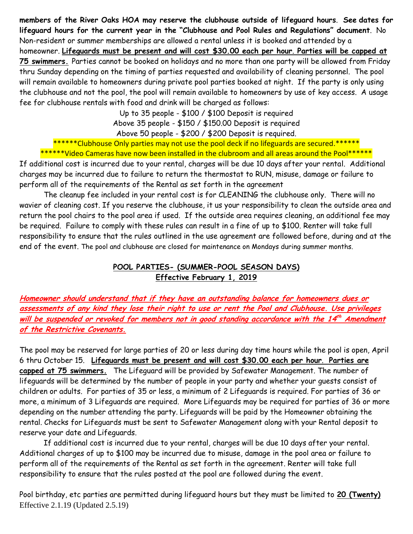**members of the River Oaks HOA may reserve the clubhouse outside of lifeguard hours**. **See dates for lifeguard hours for the current year in the "Clubhouse and Pool Rules and Regulations" document**. No Non-resident or summer memberships are allowed a rental unless it is booked and attended by a homeowner. **Lifeguards must be present and will cost \$30.00 each per hour**. **Parties will be capped at 75 swimmers.** Parties cannot be booked on holidays and no more than one party will be allowed from Friday thru Sunday depending on the timing of parties requested and availability of cleaning personnel. The pool will remain available to homeowners during private pool parties booked at night. If the party is only using the clubhouse and not the pool, the pool will remain available to homeowners by use of key access. A usage fee for clubhouse rentals with food and drink will be charged as follows:

> Up to 35 people - \$100 / \$100 Deposit is required Above 35 people - \$150 / \$150.00 Deposit is required Above 50 people - \$200 / \$200 Deposit is required.

\*\*\*\*\*\*Clubhouse Only parties may not use the pool deck if no lifeguards are secured.\*\*\*\*\*\* \*\*\*\*\*\*Video Cameras have now been installed in the clubroom and all areas around the Pool\*\*\*\*\*\*

If additional cost is incurred due to your rental, charges will be due 10 days after your rental. Additional charges may be incurred due to failure to return the thermostat to RUN, misuse, damage or failure to perform all of the requirements of the Rental as set forth in the agreement

The cleanup fee included in your rental cost is for CLEANING the clubhouse only. There will no wavier of cleaning cost. If you reserve the clubhouse, it us your responsibility to clean the outside area and return the pool chairs to the pool area if used. If the outside area requires cleaning, an additional fee may be required. Failure to comply with these rules can result in a fine of up to \$100. Renter will take full responsibility to ensure that the rules outlined in the use agreement are followed before, during and at the end of the event. The pool and clubhouse are closed for maintenance on Mondays during summer months.

### **POOL PARTIES- (SUMMER-POOL SEASON DAYS) Effective February 1, 2019**

**Homeowner should understand that if they have an outstanding balance for homeowners dues or assessments of any kind they lose their right to use or rent the Pool and Clubhouse. Use privileges will be suspended or revoked for members not in good standing accordance with the 14 th Amendment of the Restrictive Covenants.**

The pool may be reserved for large parties of 20 or less during day time hours while the pool is open, April 6 thru October 15. **Lifeguards must be present and will cost \$30.00 each per hour**. **Parties are capped at 75 swimmers.** The Lifeguard will be provided by Safewater Management. The number of lifeguards will be determined by the number of people in your party and whether your guests consist of children or adults. For parties of 35 or less, a minimum of 2 Lifeguards is required. For parties of 36 or more, a minimum of 3 Lifeguards are required. More Lifeguards may be required for parties of 36 or more depending on the number attending the party. Lifeguards will be paid by the Homeowner obtaining the rental. Checks for Lifeguards must be sent to Safewater Management along with your Rental deposit to reserve your date and Lifeguards.

If additional cost is incurred due to your rental, charges will be due 10 days after your rental. Additional charges of up to \$100 may be incurred due to misuse, damage in the pool area or failure to perform all of the requirements of the Rental as set forth in the agreement. Renter will take full responsibility to ensure that the rules posted at the pool are followed during the event.

Effective 2.1.19 (Updated 2.5.19) Pool birthday, etc parties are permitted during lifeguard hours but they must be limited to **20 (Twenty)**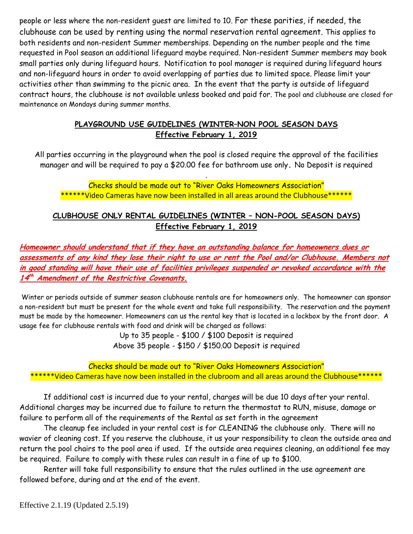people or less where the non-resident guest are limited to 10. For these parities, if needed, the clubhouse can be used by renting using the normal reservation rental agreement. This applies to both residents and non-resident Summer memberships. Depending on the number people and the time requested in Pool season an additional lifeguard maybe required. Non-resident Summer members may book small parties only during lifeguard hours. Notification to pool manager is required during lifeguard hours and non-lifeguard hours in order to avoid overlapping of parties due to limited space. Please limit your activities other than swimming to the picnic area. In the event that the party is outside of lifeguard contract hours, the clubhouse is not available unless booked and paid for. The pool and clubhouse are closed for maintenance on Mondays during summer months.

# **PLAYGROUND USE GUIDELINES (WINTER–NON POOL SEASON DAYS Effective February 1, 2019**

All parties occurring in the playground when the pool is closed require the approval of the facilities manager and will be required to pay a \$20.00 fee for bathroom use only**.** No Deposit is required

Checks should be made out to "River Oaks Homeowners Association" \*\*\*\*\*\*Video Cameras have now been installed in all areas around the Clubhouse\*\*\*\*\*\*

.

### **CLUBHOUSE ONLY RENTAL GUIDELINES (WINTER – NON-POOL SEASON DAYS) Effective February 1, 2019**

**Homeowner should understand that if they have an outstanding balance for homeowners dues or assessments of any kind they lose their right to use or rent the Pool and/or Clubhouse. Members not in good standing will have their use of facilities privileges suspended or revoked accordance with the 14 th Amendment of the Restrictive Covenants.**

Winter or periods outside of summer season clubhouse rentals are for homeowners only. The homeowner can sponsor a non-resident but must be present for the whole event and take full responsibility. The reservation and the payment must be made by the homeowner. Homeowners can us the rental key that is located in a lockbox by the front door. A usage fee for clubhouse rentals with food and drink will be charged as follows:

> Up to 35 people - \$100 / \$100 Deposit is required Above 35 people - \$150 / \$150.00 Deposit is required

Checks should be made out to "River Oaks Homeowners Association" \*\*\*\*\*Video Cameras have now been installed in the clubroom and all areas around the Clubhouse\*\*\*\*\*\*

If additional cost is incurred due to your rental, charges will be due 10 days after your rental. Additional charges may be incurred due to failure to return the thermostat to RUN, misuse, damage or failure to perform all of the requirements of the Rental as set forth in the agreement

The cleanup fee included in your rental cost is for CLEANING the clubhouse only. There will no wavier of cleaning cost. If you reserve the clubhouse, it us your responsibility to clean the outside area and return the pool chairs to the pool area if used. If the outside area requires cleaning, an additional fee may be required. Failure to comply with these rules can result in a fine of up to \$100.

Renter will take full responsibility to ensure that the rules outlined in the use agreement are followed before, during and at the end of the event.